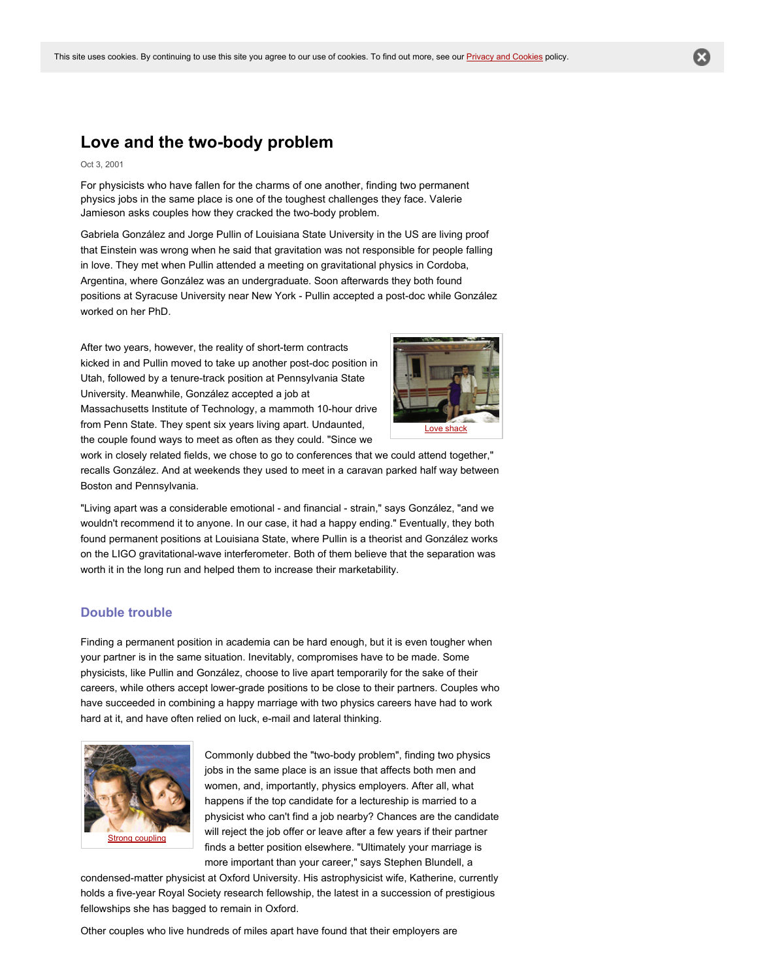# **Love** and the two-body problem

#### Oct 3, 2001

For physicists who have fallen for the charms of one another, finding two permanent physics jobs in the same place is one of the toughest challenges they face. Valerie Jamieson asks couples how they cracked the two-body problem.

Gabriela González and Jorge Pullin of Louisiana State University in the US are living proof that Einstein was wrong when he said that gravitation was not responsible for people falling in love. They met when Pullin attended a meeting on gravitational physics in Cordoba, Argentina, where González was an undergraduate. Soon afterwards they both found positions at Syracuse University near New York - Pullin accepted a post-doc while González worked on her PhD.

After two years, however, the reality of short-term contracts kicked in and Pullin moved to take up another post-doc position in Utah, followed by a tenure-track position at Pennsylvania State University. Meanwhile, González accepted a job at Massachusetts Institute of Technology, a mammoth 10-hour drive from Penn State. They spent six years living apart. Undaunted, the couple found ways to meet as often as they could. "Since we



work in closely related fields, we chose to go to conferences that we could attend together," recalls González. And at weekends they used to meet in a caravan parked half way between Boston and Pennsylvania.

"Living apart was a considerable emotional - and financial - strain," says González, "and we wouldn't recommend it to anyone. In our case, it had a happy ending." Eventually, they both found permanent positions at Louisiana State, where Pullin is a theorist and González works on the LIGO gravitational-wave interferometer. Both of them believe that the separation was worth it in the long run and helped them to increase their marketability.

### **Double trouble**

Finding a permanent position in academia can be hard enough, but it is even tougher when your partner is in the same situation. Inevitably, compromises have to be made. Some physicists, like Pullin and González, choose to live apart temporarily for the sake of their careers, while others accept lower-grade positions to be close to their partners. Couples who have succeeded in combining a happy marriage with two physics careers have had to work hard at it, and have often relied on luck, e-mail and lateral thinking.



Commonly dubbed the "two-body problem", finding two physics jobs in the same place is an issue that affects both men and women, and, importantly, physics employers. After all, what happens if the top candidate for a lectureship is married to a physicist who can't find a job nearby? Chances are the candidate will reject the job offer or leave after a few years if their partner finds a better position elsewhere. "Ultimately your marriage is more important than your career," says Stephen Blundell, a

condensed-matter physicist at Oxford University. His astrophysicist wife, Katherine, currently holds a five-year Royal Society research fellowship, the latest in a succession of prestigious fellowships she has bagged to remain in Oxford.

Other couples who live hundreds of miles apart have found that their employers are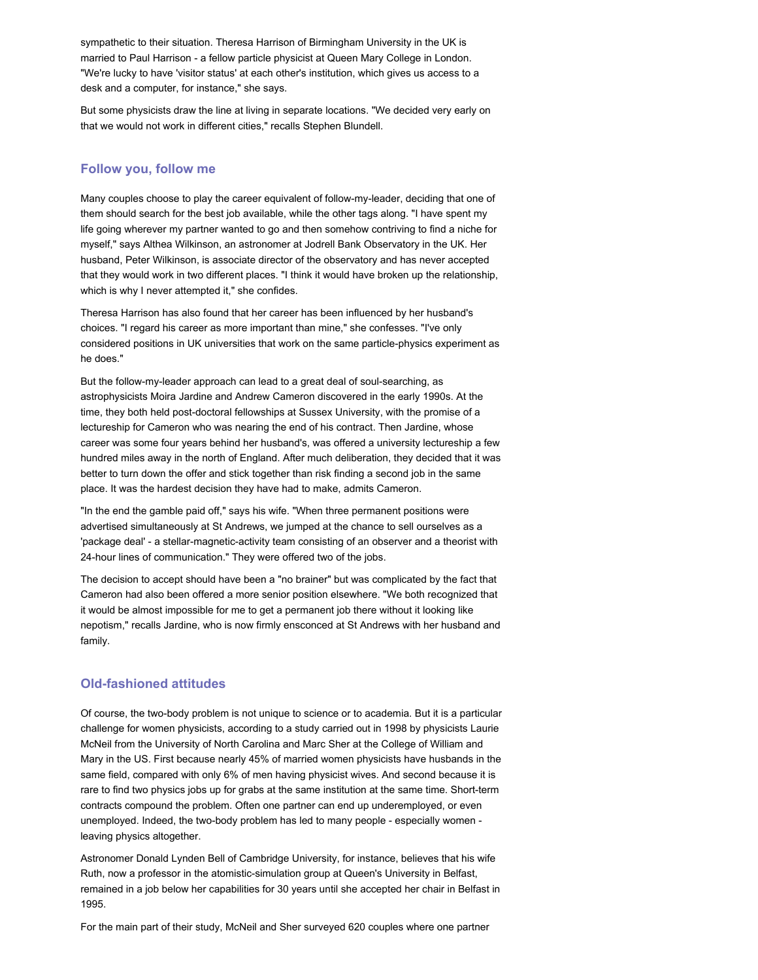sympathetic to their situation. Theresa Harrison of Birmingham University in the UK is married to Paul Harrison - a fellow particle physicist at Queen Mary College in London. "We're lucky to have 'visitor status' at each other's institution, which gives us access to a desk and a computer, for instance," she says.

But some physicists draw the line at living in separate locations. "We decided very early on that we would not work in different cities," recalls Stephen Blundell.

### **Follow you, follow me**

Many couples choose to play the career equivalent of follow-my-leader, deciding that one of them should search for the best job available, while the other tags along. "I have spent my life going wherever my partner wanted to go and then somehow contriving to find a niche for myself," says Althea Wilkinson, an astronomer at Jodrell Bank Observatory in the UK. Her husband, Peter Wilkinson, is associate director of the observatory and has never accepted that they would work in two different places. "I think it would have broken up the relationship, which is why I never attempted it," she confides.

Theresa Harrison has also found that her career has been influenced by her husband's choices. "I regard his career as more important than mine," she confesses. "I've only considered positions in UK universities that work on the same particle-physics experiment as he does."

But the follow-my-leader approach can lead to a great deal of soul-searching, as astrophysicists Moira Jardine and Andrew Cameron discovered in the early 1990s. At the time, they both held post-doctoral fellowships at Sussex University, with the promise of a lectureship for Cameron who was nearing the end of his contract. Then Jardine, whose career was some four years behind her husband's, was offered a university lectureship a few hundred miles away in the north of England. After much deliberation, they decided that it was better to turn down the offer and stick together than risk finding a second job in the same place. It was the hardest decision they have had to make, admits Cameron.

"In the end the gamble paid off," says his wife. "When three permanent positions were advertised simultaneously at St Andrews, we jumped at the chance to sell ourselves as a 'package deal' - a stellar-magnetic-activity team consisting of an observer and a theorist with 24hour lines of communication." They were offered two of the jobs.

The decision to accept should have been a "no brainer" but was complicated by the fact that Cameron had also been offered a more senior position elsewhere. "We both recognized that it would be almost impossible for me to get a permanent job there without it looking like nepotism," recalls Jardine, who is now firmly ensconced at St Andrews with her husband and family.

#### **Old-fashioned attitudes**

Of course, the two-body problem is not unique to science or to academia. But it is a particular challenge for women physicists, according to a study carried out in 1998 by physicists Laurie McNeil from the University of North Carolina and Marc Sher at the College of William and Mary in the US. First because nearly 45% of married women physicists have husbands in the same field, compared with only 6% of men having physicist wives. And second because it is rare to find two physics jobs up for grabs at the same institution at the same time. Short-term contracts compound the problem. Often one partner can end up underemployed, or even unemployed. Indeed, the two-body problem has led to many people - especially women leaving physics altogether.

Astronomer Donald Lynden Bell of Cambridge University, for instance, believes that his wife Ruth, now a professor in the atomistic-simulation group at Queen's University in Belfast, remained in a job below her capabilities for 30 years until she accepted her chair in Belfast in 1995.

For the main part of their study, McNeil and Sher surveyed 620 couples where one partner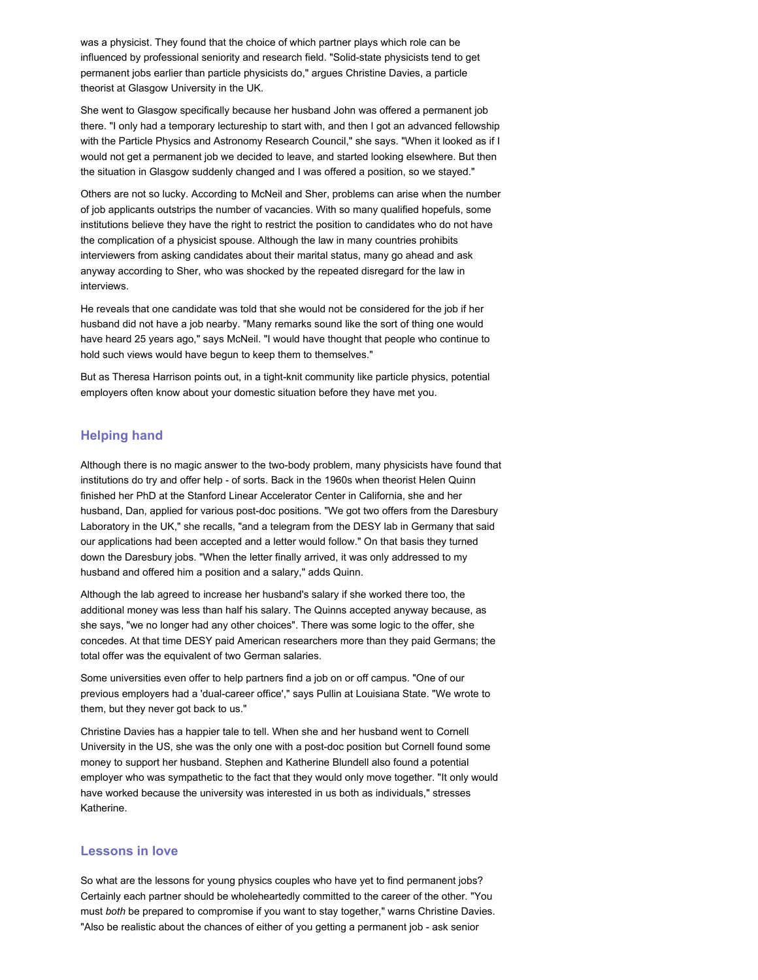was a physicist. They found that the choice of which partner plays which role can be influenced by professional seniority and research field. "Solid-state physicists tend to get permanent jobs earlier than particle physicists do," argues Christine Davies, a particle theorist at Glasgow University in the UK.

She went to Glasgow specifically because her husband John was offered a permanent job there. "I only had a temporary lectureship to start with, and then I got an advanced fellowship with the Particle Physics and Astronomy Research Council," she says. "When it looked as if I would not get a permanent job we decided to leave, and started looking elsewhere. But then the situation in Glasgow suddenly changed and I was offered a position, so we stayed."

Others are not so lucky. According to McNeil and Sher, problems can arise when the number of job applicants outstrips the number of vacancies. With so many qualified hopefuls, some institutions believe they have the right to restrict the position to candidates who do not have the complication of a physicist spouse. Although the law in many countries prohibits interviewers from asking candidates about their marital status, many go ahead and ask anyway according to Sher, who was shocked by the repeated disregard for the law in interviews.

He reveals that one candidate was told that she would not be considered for the job if her husband did not have a job nearby. "Many remarks sound like the sort of thing one would have heard 25 years ago," says McNeil. "I would have thought that people who continue to hold such views would have begun to keep them to themselves."

But as Theresa Harrison points out, in a tight-knit community like particle physics, potential employers often know about your domestic situation before they have met you.

# **Helping hand**

Although there is no magic answer to the two-body problem, many physicists have found that institutions do try and offer help - of sorts. Back in the 1960s when theorist Helen Quinn finished her PhD at the Stanford Linear Accelerator Center in California, she and her husband, Dan, applied for various post-doc positions. "We got two offers from the Daresbury Laboratory in the UK," she recalls, "and a telegram from the DESY lab in Germany that said our applications had been accepted and a letter would follow." On that basis they turned down the Daresbury jobs. "When the letter finally arrived, it was only addressed to my husband and offered him a position and a salary," adds Quinn.

Although the lab agreed to increase her husband's salary if she worked there too, the additional money was less than half his salary. The Quinns accepted anyway because, as she says, "we no longer had any other choices". There was some logic to the offer, she concedes. At that time DESY paid American researchers more than they paid Germans; the total offer was the equivalent of two German salaries.

Some universities even offer to help partners find a job on or off campus. "One of our previous employers had a 'dual-career office'," says Pullin at Louisiana State. "We wrote to them, but they never got back to us."

Christine Davies has a happier tale to tell. When she and her husband went to Cornell University in the US, she was the only one with a post-doc position but Cornell found some money to support her husband. Stephen and Katherine Blundell also found a potential employer who was sympathetic to the fact that they would only move together. "It only would have worked because the university was interested in us both as individuals," stresses Katherine.

## **Lessons in love**

So what are the lessons for young physics couples who have yet to find permanent jobs? Certainly each partner should be wholeheartedly committed to the career of the other. "You must *both* be prepared to compromise if you want to stay together," warns Christine Davies. "Also be realistic about the chances of either of you getting a permanent job - ask senior